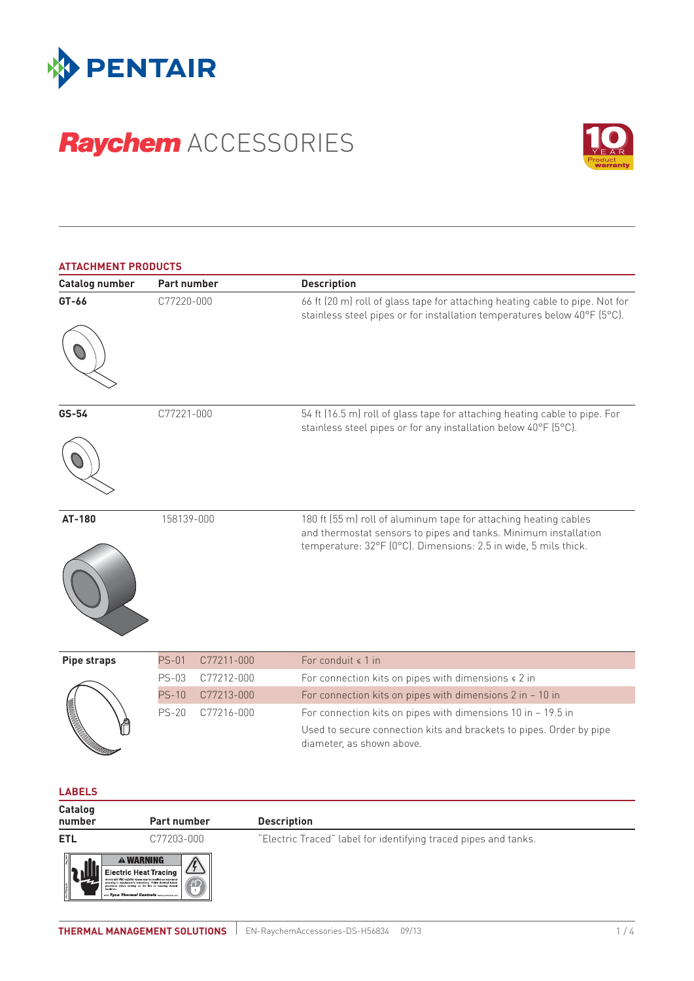

# **Raychem** ACCESSORIES



| <b>Catalog number</b> | Part number  |            | <b>Description</b>                                                                                                                                                                                     |  |  |
|-----------------------|--------------|------------|--------------------------------------------------------------------------------------------------------------------------------------------------------------------------------------------------------|--|--|
| GT-66<br>C77220-000   |              |            | 66 ft (20 m) roll of glass tape for attaching heating cable to pipe. Not for<br>stainless steel pipes or for installation temperatures below 40°F (5°C).                                               |  |  |
| GS-54                 | C77221-000   |            | 54 ft (16.5 m) roll of glass tape for attaching heating cable to pipe. For<br>stainless steel pipes or for any installation below 40°F (5°C).                                                          |  |  |
|                       |              |            |                                                                                                                                                                                                        |  |  |
| AT-180                | 158139-000   |            | 180 ft (55 m) roll of aluminum tape for attaching heating cables<br>and thermostat sensors to pipes and tanks. Minimum installation<br>temperature: 32°F (0°C). Dimensions: 2.5 in wide, 5 mils thick. |  |  |
| <b>Pipe straps</b>    | <b>PS-01</b> | C77211-000 | For conduit $\leq 1$ in                                                                                                                                                                                |  |  |
|                       | $PS-03$      | C77212-000 | For connection kits on pipes with dimensions $\leq 2$ in                                                                                                                                               |  |  |
|                       | <b>PS-10</b> | C77213-000 | For connection kits on pipes with dimensions $2$ in $-10$ in                                                                                                                                           |  |  |
|                       | $PS-20$      | C77216-000 | For connection kits on pipes with dimensions $10$ in $-19.5$ in                                                                                                                                        |  |  |
|                       |              |            | Used to secure connection kits and brackets to pipes. Order by pipe<br>diameter, as shown above.                                                                                                       |  |  |
| <b>LABELS</b>         |              |            |                                                                                                                                                                                                        |  |  |

| Catalog<br>number | Part number                                                                                                                                                                                                                                                           | <b>Description</b>                                              |
|-------------------|-----------------------------------------------------------------------------------------------------------------------------------------------------------------------------------------------------------------------------------------------------------------------|-----------------------------------------------------------------|
| <b>ETL</b>        | C77203-000                                                                                                                                                                                                                                                            | "Electric Traced" label for identifying traced pipes and tanks. |
|                   | <b>A WARNING</b><br><b>Electric Heat Tracing</b><br>SHOCK AND FIRE HAZARD: System must be installed and maintained<br>seconding to manufacturer's instructions. Follow electrical lockout<br>procedures belore working on this line or removing thermal<br>insulation |                                                                 |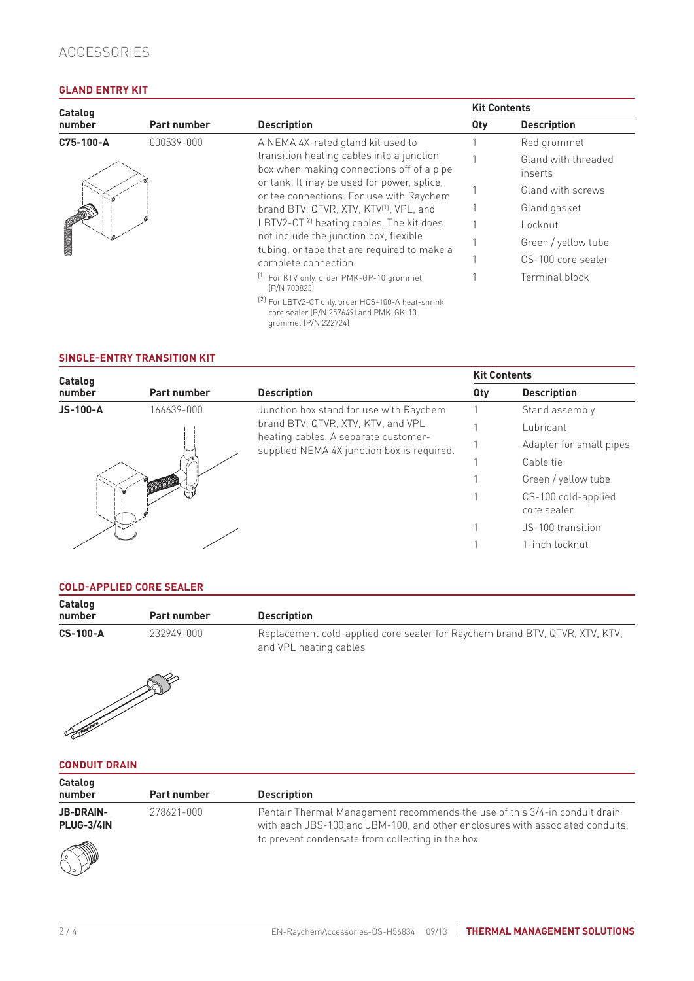# Accessories

# **Gland Entry Kit**

| Catalog         |                    |                                                                                                                                                                                                                              | <b>Kit Contents</b> |                                |
|-----------------|--------------------|------------------------------------------------------------------------------------------------------------------------------------------------------------------------------------------------------------------------------|---------------------|--------------------------------|
| number          | <b>Part number</b> | <b>Description</b>                                                                                                                                                                                                           | Qty                 | <b>Description</b>             |
| C75-100-A       | 000539-000         | A NEMA 4X-rated gland kit used to                                                                                                                                                                                            |                     | Red grommet                    |
|                 |                    | transition heating cables into a junction<br>box when making connections off of a pipe<br>or tank. It may be used for power, splice,<br>or tee connections. For use with Raychem                                             |                     | Gland with threaded<br>inserts |
|                 |                    |                                                                                                                                                                                                                              |                     | Gland with screws              |
|                 |                    | brand BTV, QTVR, XTV, KTV <sup>(1)</sup> , VPL, and<br>LBTV2-CT <sup>(2)</sup> heating cables. The kit does<br>not include the junction box, flexible<br>tubing, or tape that are required to make a<br>complete connection. |                     | Gland gasket                   |
|                 |                    |                                                                                                                                                                                                                              |                     | Locknut                        |
| <b>ANTIQUES</b> |                    |                                                                                                                                                                                                                              |                     | Green / yellow tube            |
|                 |                    |                                                                                                                                                                                                                              |                     | CS-100 core sealer             |
|                 |                    | <sup>[1]</sup> For KTV only, order PMK-GP-10 grommet<br>(P/N 700823)                                                                                                                                                         |                     | Terminal block                 |
|                 |                    | <sup>[2]</sup> For LBTV2-CT only, order HCS-100-A heat-shrink<br>core sealer (P/N 257649) and PMK-GK-10<br>grommet (P/N 222724)                                                                                              |                     |                                |

**Single-Entry Transition Kit**

| Catalog    | Part number | <b>Description</b>                                                                                                                                                  | <b>Kit Contents</b> |                                    |
|------------|-------------|---------------------------------------------------------------------------------------------------------------------------------------------------------------------|---------------------|------------------------------------|
| number     |             |                                                                                                                                                                     | Qty                 | <b>Description</b>                 |
| $JS-100-A$ | 166639-000  | Junction box stand for use with Raychem<br>brand BTV, QTVR, XTV, KTV, and VPL<br>heating cables. A separate customer-<br>supplied NEMA 4X junction box is required. |                     | Stand assembly                     |
|            |             |                                                                                                                                                                     |                     | Lubricant                          |
|            |             |                                                                                                                                                                     |                     | Adapter for small pipes            |
|            |             |                                                                                                                                                                     |                     | Cable tie                          |
|            |             |                                                                                                                                                                     |                     | Green / yellow tube                |
|            |             |                                                                                                                                                                     |                     | CS-100 cold-applied<br>core sealer |
|            |             |                                                                                                                                                                     |                     | JS-100 transition                  |
|            |             |                                                                                                                                                                     |                     | 1-inch locknut                     |

## **Cold-Applied Core Sealer**

| Catalog<br>number | Part number | <b>Description</b>                                                                                    |
|-------------------|-------------|-------------------------------------------------------------------------------------------------------|
| $CS-100-A$        | 232949-000  | Replacement cold-applied core sealer for Raychem brand BTV, QTVR, XTV, KTV,<br>and VPL heating cables |



#### **Conduit Drain**

| Catalog<br>number                              | Part number | <b>Description</b>                                                                                                                                                                                               |
|------------------------------------------------|-------------|------------------------------------------------------------------------------------------------------------------------------------------------------------------------------------------------------------------|
| <b>JB-DRAIN-</b><br>PLUG-3/4IN<br>$\mathbb{C}$ | 278621-000  | Pentair Thermal Management recommends the use of this 3/4-in conduit drain<br>with each JBS-100 and JBM-100, and other enclosures with associated conduits.<br>to prevent condensate from collecting in the box. |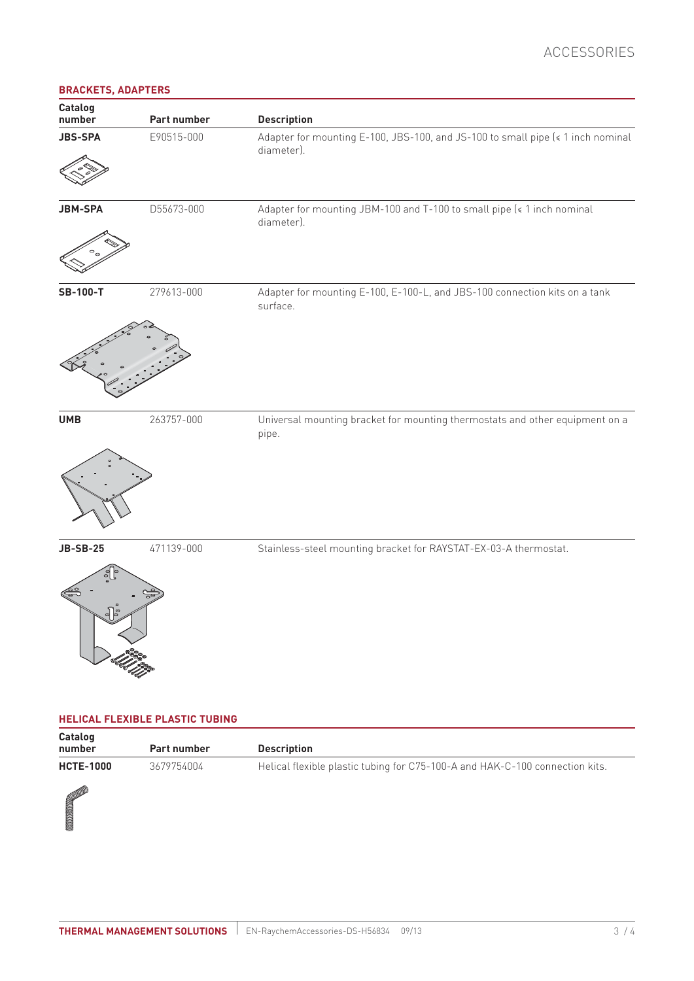# Accessories

# **Brackets, Adapters**

| Catalog<br>number | Part number | <b>Description</b>                                                                            |
|-------------------|-------------|-----------------------------------------------------------------------------------------------|
| <b>JBS-SPA</b>    | E90515-000  | Adapter for mounting E-100, JBS-100, and JS-100 to small pipe (< 1 inch nominal<br>diameter). |
|                   |             |                                                                                               |
| <b>JBM-SPA</b>    | D55673-000  | Adapter for mounting JBM-100 and T-100 to small pipe (< 1 inch nominal<br>diameter).          |
|                   |             |                                                                                               |
| SB-100-T          | 279613-000  | Adapter for mounting E-100, E-100-L, and JBS-100 connection kits on a tank<br>surface.        |
|                   |             |                                                                                               |
| <b>UMB</b>        | 263757-000  | Universal mounting bracket for mounting thermostats and other equipment on a<br>pipe.         |
|                   |             |                                                                                               |
| <b>JB-SB-25</b>   | 471139-000  | Stainless-steel mounting bracket for RAYSTAT-EX-03-A thermostat.                              |
|                   |             |                                                                                               |

## **Helical Flexible Plastic Tubing**

| Catalog<br>number | Part number | <b>Description</b>                                                           |
|-------------------|-------------|------------------------------------------------------------------------------|
| <b>HCTE-1000</b>  | 3679754004  | Helical flexible plastic tubing for C75-100-A and HAK-C-100 connection kits. |
|                   |             |                                                                              |